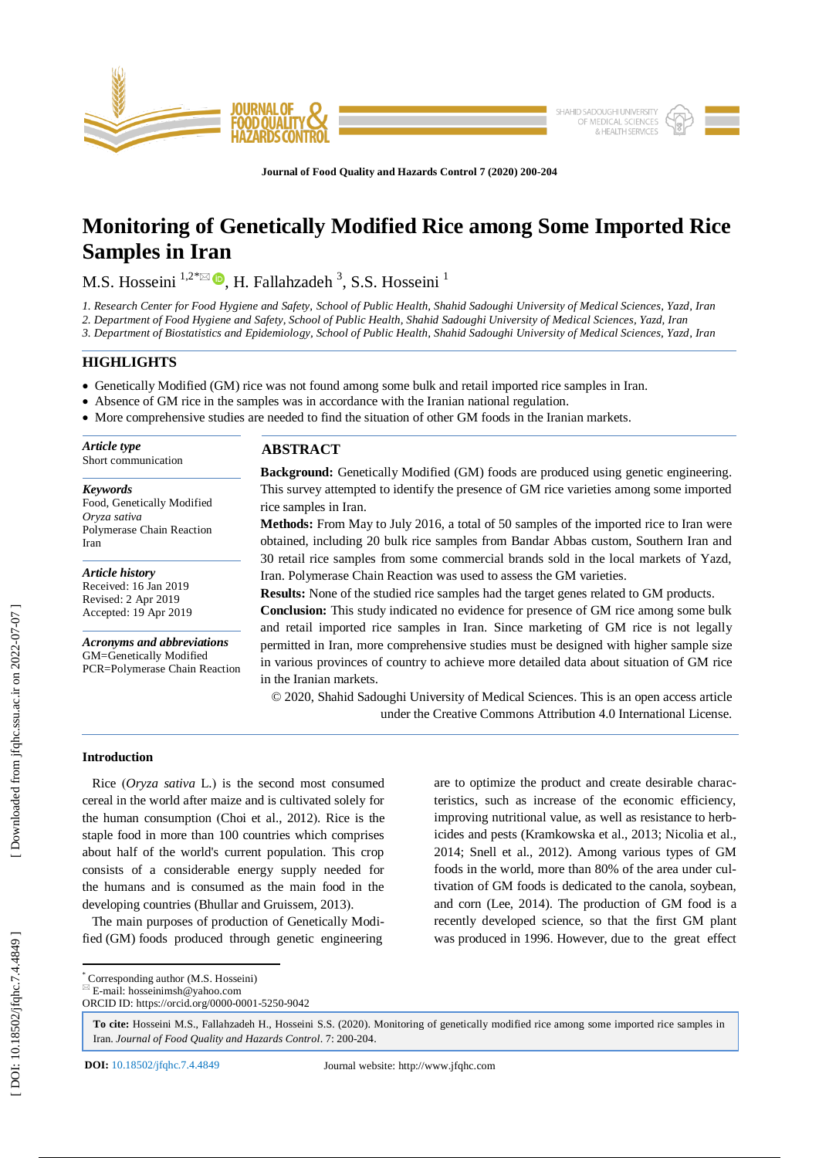

**Journal of Food Quality and Hazards Control 7 (2020) 200 -204**

# **Monitoring of Genetically Modified Rice among Some Imported Rice Samples in Iran**

M.S. Hosseini  $1.2 \times 10^8$ , H. Fallahzadeh <sup>3</sup>, S.S. Hosseini <sup>1</sup>

*1. Research Center for Food Hygiene and Safety, School of Public Health, Shahid Sadoughi University of Medical Sciences, Yazd, Iran*

*2. Department of Food Hygiene and Safety, School of Public Health, Shahid Sadoughi University of Medical Sciences, Yazd, Iran* 

*3. Department of Biostatistics and Epidemiology, School of Public Health, Shahid Sadoughi University of Medical Sciences, Yazd, Iran* 

## **HIGHLIGHTS**

- Genetically Modified (GM) rice was not found among some bulk and retail imported rice samples in Iran.
- Absence of GM rice in the samples was in accordance with the Iranian national regulation.
- More comprehensive studies are needed to find the situation of other GM foods in the Iranian markets.

| Article type        |  |
|---------------------|--|
| Short communication |  |

## *Keywords*

Food, Genetically Modified *Oryza sativa* Polymerase Chain Reaction Iran

*Article history* Received: 16 Jan 2019 Revised: 2 Apr 2019 Accepted: 19 Apr 2019

*Acronyms and abbreviations* GM=Genetically Modified PCR=Polymerase Chain Reaction

## **ABSTRACT**

**Background:** Genetically Modified (GM) foods are produced using genetic engineering. This survey attempted to identify the presence of GM rice varieties among some imported rice samples in Iran.

**Methods:** From May to July 2016, a total of 50 samples of the imported rice to Iran were obtained, including 20 bulk rice samples from Bandar Abbas custom, Southern Iran and 30 retail rice samples from some commercial brands sold in the local markets of Yazd, Iran. Polymerase Chain Reaction was used to assess the GM varieties.

**Results:** None of the studied rice samples had the target genes related to GM products.

**Conclusion:** This study indicated no evidence for presence of GM rice among some bulk and retail imported rice samples in Iran. Since marketing of GM rice is not legally permitted in Iran, more comprehensive studies must be designed with higher sample size in various provinces of country to achieve more detailed data about situation of GM rice in the Iranian markets.

© 2020, Shahid Sadoughi University of Medical Sciences. This is an open access article under the Creative Commons Attribution 4.0 International License.

## **Introduction**

Rice (Oryza sativa L.) is the second most consumed cereal in the world after maize and is cultivated solely for the human consumption (Choi et al., 2012). Rice is the staple food in more than 100 countries which comprises about half of the world's current population. This crop consists of a considerable energy supply needed for the humans and is consumed as the main food in the developing countries (Bhullar and Gruissem, 2013).

 The main purposes of production of Genetically Modified (GM) foods produced through genetic engineering

are to optimize the product and create desirable characteristics, such as increase of the economic efficiency, improving nutritional value, as well as resistance to herbicides and pests (Kramkowska et al., 2013; Nicolia et al., 2014; Snell et al., 2012 ). Among various types of GM foods in the world, more than 80% of the area under cultivation of GM foods is dedicated to the canola, soybean, and corn (Lee, 2014 ). The production of GM food is a recently developed science, so that the first GM plant was produced in 1996. However, due to the great effect

\* Corresponding author (M.S. Hosseini)

 $E$ -mail: hosseinimsh@yahoo.com ORCID ID: https://orcid.org/0000 -0001 -5250 -9042

**To cite:** Hosseini M.S., Fallahzadeh H., Hosseini S.S. (2020). Monitoring of genetically modified rice among some imported rice samples in Iran. Journal of Food Quality and Hazards Control. 7: 200-204.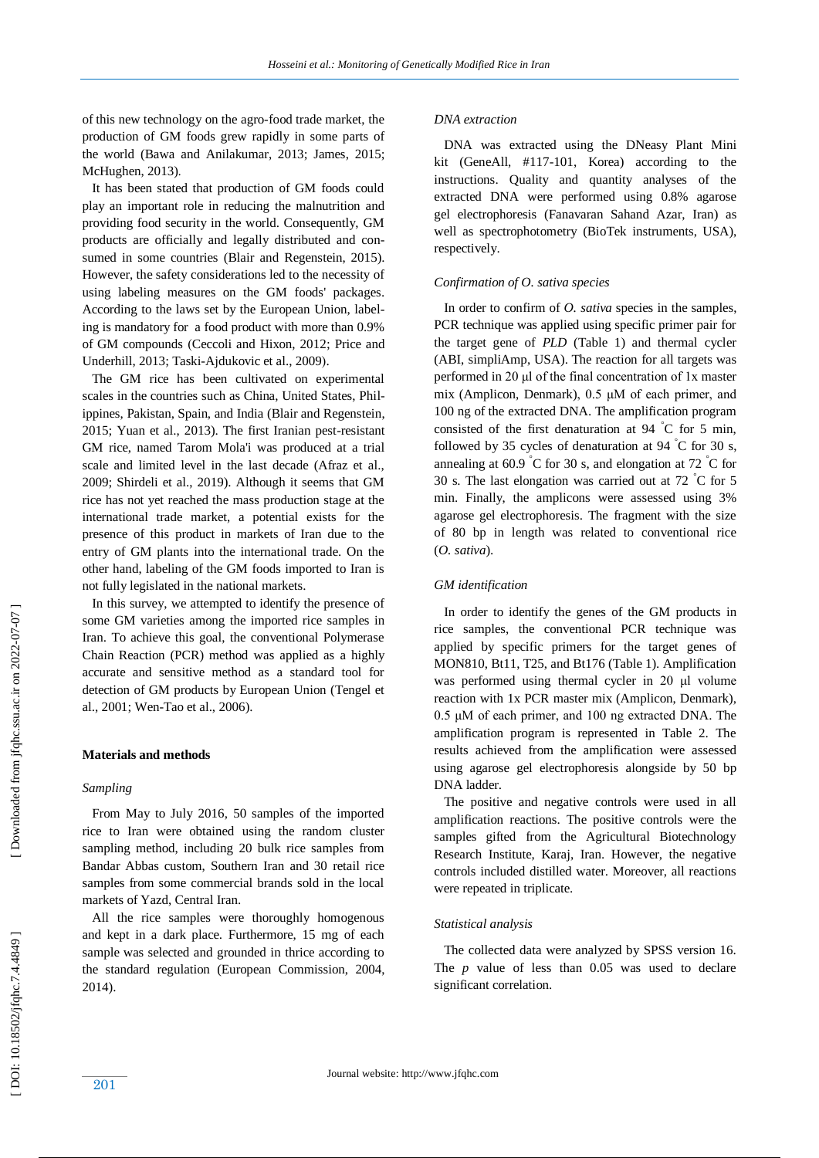of this new technology on the agro -food trade market, the production of GM foods grew rapidly in some parts of the world (Bawa and Anilakumar, 2013; James, 2015; McHughen, 2013).

 It has been stated that production of GM foods could play an important role in reducing the malnutrition and providing food security in the world. Consequently, GM products are officially and legally distributed and consumed in some countries (Blair and Regenstein, 2015). However, the safety considerations led to the necessity of using labeling measures on the GM foods' packages. According to the laws set by the European Union, labeling is mandatory for a food product with more than 0.9% of GM compounds (Ceccoli and Hixon, 2012; Price and Underhill, 2013; Taski-Ajdukovic et al., 2009).

 The GM rice has been cultivated on experimental scales in the countries such as China, United States, Philippines, Pakistan, Spain, and India (Blair and Regenstein, 2015; Yuan et al., 2013). The first Iranian pest-resistant GM rice, named Tarom Mola'i was produced at a trial scale and limited level in the last decade (Afraz et al., 2009; Shirdeli et al., 2019). Although it seems that GM rice has not yet reached the mass production stage at the international trade market, a potential exists for the presence of this product in markets of Iran due to the entry of GM plants into the international trade. On the other hand, labeling of the GM foods imported to Iran is not fully legislated in the national markets.

 In this survey, we attempted to identify the presence of some GM varieties among the imported rice samples in Iran. To achieve this goal, the conventional Polymerase Chain Reaction (PCR) method was applied as a highly accurate and sensitive method as a standard tool for detection of GM products by European Union (Tengel et al., 2001; Wen -Tao et al., 2006 ) .

#### **Materials and methods**

## *Sampling*

 From May to July 2016, 50 samples of the imported rice to Iran were obtained using the random cluster sampling method, including 20 bulk rice samples from Bandar Abbas custom, Southern Iran and 30 retail rice samples from some commercial brands sold in the local markets of Yazd, Central Iran.

 All the rice samples were thoroughly homogenous and kept in a dark place. Furthermore, 15 mg of each sample was selected and grounded in thrice according to the standard regulation (European Commission, 2004, 2014).

#### *DNA extraction*

 DNA was extracted using the DNeasy Plant Mini kit (GeneAll, #117 -101, Korea) according to the instructions. Quality and quantity analyses of the extracted DNA were performed using 0.8% agarose gel electrophoresis (Fanavaran Sahand Azar, Iran) as well as spectrophotometry (BioTek instruments, USA), respectively.

## *Confirmation of O. sativa species*

 In order to confirm of *O. sativa* species in the samples, PCR technique was applied using specific primer pair for the target gene of *PLD* (Table 1) and thermal cycler (ABI, simpliAmp, USA). The reaction for all targets was performed in 20 μl of the final concentration of 1x master mix (Amplicon, Denmark), 0.5 μM of each primer, and 100 ng of the extracted DNA. The amplification program consisted of the first denaturation at 94 °C for 5 min, followed by 35 cycles of denaturation at 94  $\degree$ C for 30 s, annealing at 60.9  $\degree$ C for 30 s, and elongation at 72  $\degree$ C for 30 s. The last elongation was carried out at 72  $\degree$ C for 5 min. Finally, the amplicons were assessed using 3% agarose gel electrophoresis. The fragment with the size of 80 bp in length was related to conventional rice (*O. sativa*).

#### *GM identification*

 In order to identify the genes of the GM products in rice samples, the conventional PCR technique was applied by specific primers for the target genes of MON810, Bt11, T25, and Bt176 (Table 1). Amplification was performed using thermal cycler in 20 μl volume reaction with 1x PCR master mix (Amplicon, Denmark), 0.5 μM of each primer, and 100 ng extracted DNA. The amplification program is represented in Table 2. The results achieved from the amplification were assessed using agarose gel electrophoresis alongside by 50 bp DNA ladder.

 The positive and negative controls were used in all amplification reactions. The positive controls were the samples gifted from the Agricultural Biotechnology Research Institute, Karaj, Iran. However, the negative controls included distilled water. Moreover, all reactions were repeated in triplicate.

#### *Statistical analysis*

 The collected data were analyzed by SPSS version 16. The *p* value of less than 0.05 was used to declare significant correlation.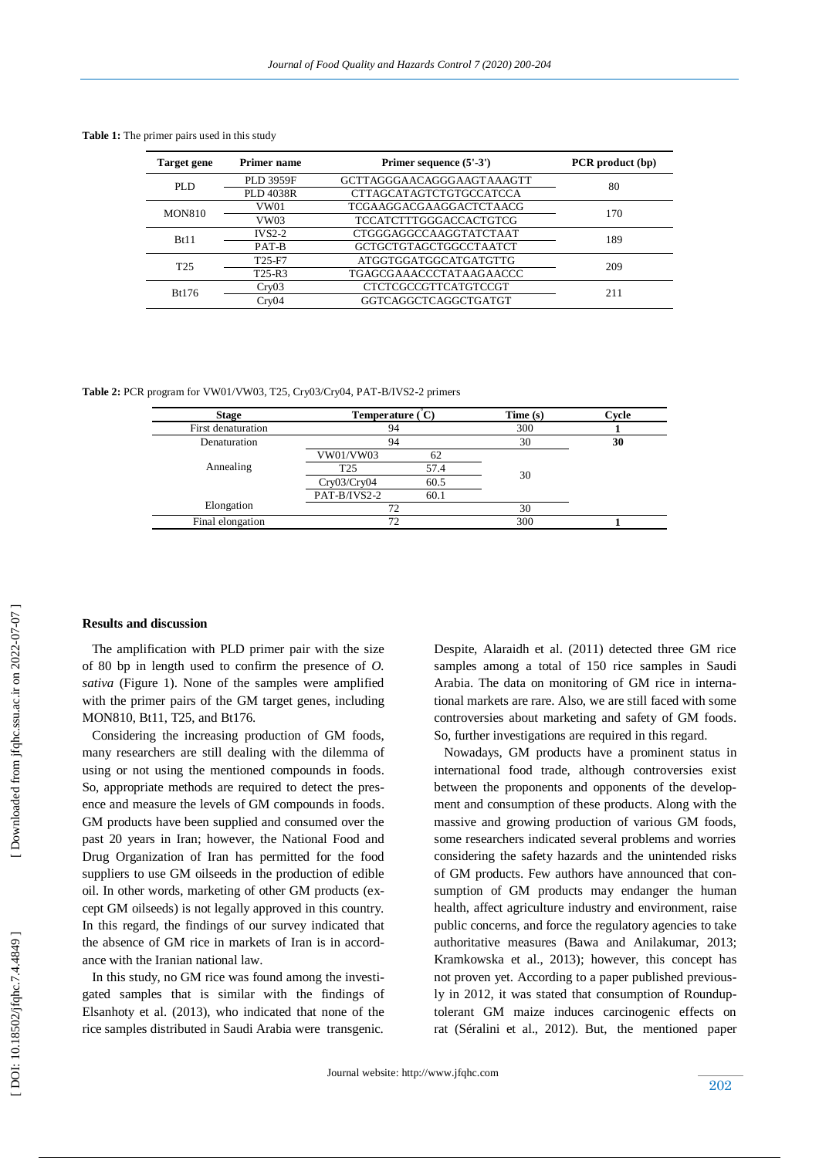| <b>Table 1:</b> The primer pairs used in this study |  |  |  |  |  |  |
|-----------------------------------------------------|--|--|--|--|--|--|
|-----------------------------------------------------|--|--|--|--|--|--|

| <b>Target gene</b> | <b>Primer name</b>              | Primer sequence (5'-3')        | PCR product (bp) |
|--------------------|---------------------------------|--------------------------------|------------------|
| PLD.               | <b>PLD 3959F</b>                | GCTTAGGGAACAGGGAAGTAAAGTT      | 80               |
|                    | <b>PLD 4038R</b>                | <b>CTTAGCATAGTCTGTGCCATCCA</b> |                  |
| <b>MON810</b>      | VW01                            | TCGAAGGACGAAGGACTCTAACG        | 170              |
|                    | VW03                            | <b>TCCATCTTTGGGACCACTGTCG</b>  |                  |
| Bt11               | $IVS2-2$                        | CTGGGAGGCCAAGGTATCTAAT         | 189              |
|                    | PAT-B                           | GCTGCTGTAGCTGGCCTAATCT         |                  |
| T <sub>25</sub>    | T <sub>25</sub> -F <sub>7</sub> | ATGGTGGATGGCATGATGTTG          | 209              |
|                    | T <sub>25</sub> -R <sub>3</sub> | TGAGCGAAACCCTATAAGAACCC        |                  |
| Bt176              | Cry03                           | CTCTCGCCGTTCATGTCCGT           | 211              |
|                    | Crv04                           | GGTCAGGCTCAGGCTGATGT           |                  |

Table 2: PCR program for VW01/VW03, T25, Cry03/Cry04, PAT-B/IVS2-2 primers

| <b>Stage</b>       | Temperature $\rm(C)$ |      | Time(s) | Cvcle |
|--------------------|----------------------|------|---------|-------|
| First denaturation | 94                   |      | 300     |       |
| Denaturation       | 94                   |      | 30      | 30    |
|                    | VW01/VW03            | 62   |         |       |
| Annealing          | T <sub>25</sub>      | 57.4 |         |       |
|                    | Cry03/Cry04          | 60.5 | 30      |       |
|                    | PAT-B/IVS2-2         | 60.1 |         |       |
| Elongation         | 72                   |      | 30      |       |
| Final elongation   | 72                   |      | 300     |       |

## **Results and discussion**

 The amplification with PLD primer pair with the size of 80 bp in length used to confirm the presence of *O. sativa* (Figure 1). None of the samples were amplified with the primer pairs of the GM target genes, including MON810, Bt11, T25, and Bt176.

 Considering the increasing production of GM foods, many researchers are still dealing with the dilemma of using or not using the mentioned compounds in foods. So, appropriate methods are required to detect the presence and measure the levels of GM compounds in foods. GM products have been supplied and consumed over the past 20 years in Iran; however, the National Food and Drug Organization of Iran has permitted for the food suppliers to use GM oilseeds in the production of edible oil. In other words, marketing of other GM products (except GM oilseeds) is not legally approved in this country. In this regard, the findings of our survey indicated that the absence of GM rice in markets of Iran is in accordance with the Iranian national law.

 In this study, no GM rice was found among the investigated samples that is similar with the findings of Elsanhoty et al. (2013), who indicated that none of the rice samples distributed in Saudi Arabia were transgenic. Despite, Alaraidh et al. (2011) detected three GM rice samples among a total of 150 rice samples in Saudi Arabia. The data on monitoring of GM rice in international markets are rare. Also, we are still faced with some controversies about marketing and safety of GM foods. So, further investigations are required in this regard.

 Nowadays, GM products have a prominent status in international food trade, although controversies exist between the proponents and opponents of the development and consumption of these products. Along with the massive and growing production of various GM foods, some researchers indicated several problems and worries considering the safety hazards and the unintended risks of GM products. Few authors have announced that consumption of GM products may endanger the human health, affect agriculture industry and environment, raise public concerns, and force the regulatory agencies to take authoritative measures (Bawa and Anilakumar, 2013; Kramkowska et al., 2013) ; however , this concept has not proven yet. According to a paper published previously in 2012, it was stated that consumption of Rounduptolerant GM maize induces carcinogenic effects on rat (Séralini et al., 2012). But , the mentioned paper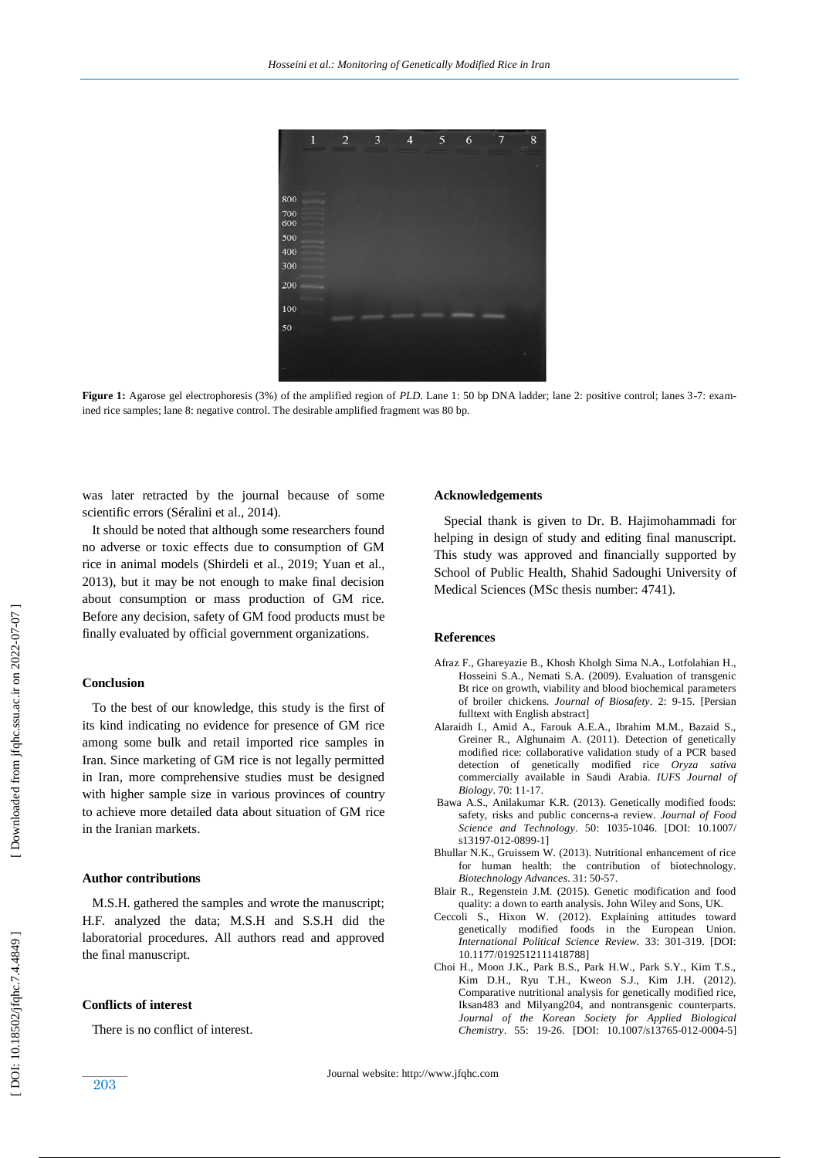

**Figure 1:** Agarose gel electrophoresis (3%) of the amplified region of *PLD*. Lane 1: 50 bp DNA ladder; lane 2: positive control; lanes 3-7: examined rice samples; lane 8: negative control. The desirable amplified fragment was 80 bp.

was later retracted by the journal because of some scientific errors (Séralini et al., 2014).

 It should be noted that although some researchers found no adverse or toxic effects due to consumption of GM rice in animal model s (Shirdeli et al., 2019; Yuan et al., 2013), but it may be not enough to make final decision about consumption or mass production of GM rice. Before any decision, safety of GM food products must be finally evaluated by official government organizations.

## **Conclusion**

 To the best of our knowledge, this study is the first of its kind indicating no evidence for presence of GM rice among some bulk and retail imported rice samples in Iran. Since marketing of GM rice is not legally permitted in Iran, more comprehensive studies must be designed with higher sample size in various provinces of country to achieve more detailed data about situation of GM rice in the Iranian markets.

#### **Author contributions**

 M.S.H. gathered the samples and wrote the manuscript; H.F. analyzed the data; M.S.H and S.S.H did the laboratorial procedures. All authors read and approved the final manuscript.

## **Conflicts of interest**

There is no conflict of interest.

#### **Acknowledgements**

 Special thank is given to Dr. B. Hajimohammadi for helping in design of study and editing final manuscript. This study was approved and financially supported by School of Public Health, Shahid Sadoughi University of Medical Sciences (MS c thesis number: 4741).

#### **Reference s**

- Afraz F., Ghareyazie B., Khosh Kholgh Sima N.A., Lotfolahian H., Hosseini S .A., Nemati S.A. (2009). Evaluation of transgenic Bt rice on growth, viability and blood biochemical parameters of broiler chickens. *Journal of Biosafety*. 2: 9 -15. [Persian fulltext with English abstract]
- Alaraidh I., Amid A., Farouk A.E.A., Ibrahim M.M., Bazaid S., Greiner R., Alghunaim A. (2011). Detection of genetically modified rice: collaborative validation study of a PCR based detection of genetically modified rice *Oryza sativa* commercially available in Saudi Arabia. *IUFS Journal of Biology*. 70: 11 -17.
- Bawa A.S., Anilakumar K.R. (2013). Genetically modified foods: safety, risks and public concerns -a review. *Journal of Food*  Science and Technology. 50: 1035-1046. [DOI: 10.1007/ s13197-012-0899-1]
- Bhullar N.K., Gruissem W. (2013). Nutritional enhancement of rice for human health: the contribution of biotechnology. *Biotechnology Advances*. 31 : 50 -57.
- Blair R., Regenstein J.M. (2015). Genetic modification and food quality: a down to earth analysis. John Wiley and Sons, UK.
- Ceccoli S., Hixon W. (2012). Explaining attitudes toward genetically modified foods in the European Union. *International Political Science Review*. 33 : 301 -319. [DOI: 10.1177/0192512111418788]
- Choi H., Moon J.K., Park B.S., Park H.W., Park S.Y., Kim T.S., Kim D.H., Ryu T.H., Kweon S.J., Kim J.H. (2012). Comparative nutritional analysis for genetically modified rice, Iksan483 and Milyang204, and nontransgenic counterparts. *Journal of the Korean Society for Applied Biological*  Chemistry. 55: 19-26. [DOI: 10.1007/s13765-012-0004-5]